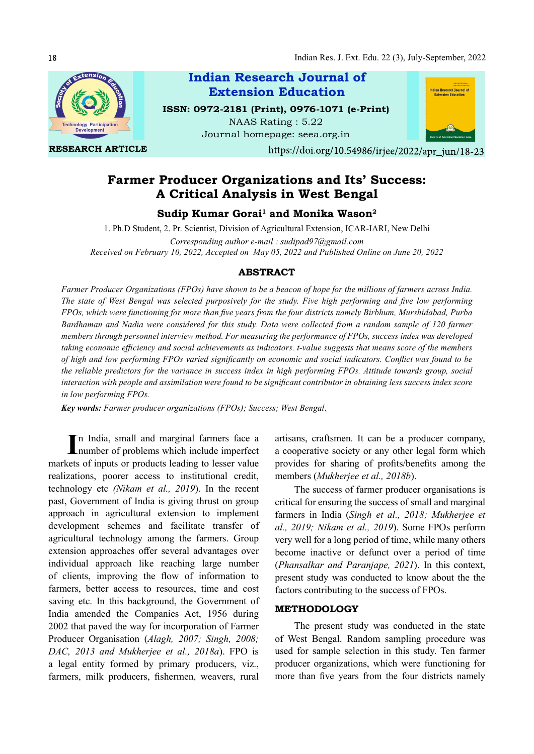

RESEARCH ARTICLE



NAAS Rating : 5.22 Journal homepage: seea.org.in



https://doi.org/10.54986/irjee/2022/apr jun/18-23

# Farmer Producer Organizations and Its' Success: A Critical Analysis in West Bengal

# Sudip Kumar Gorai $^1$  and Monika Wason $^2$

1. Ph.D Student, 2. Pr. Scientist, Division of Agricultural Extension, ICAR-IARI, New Delhi

Corresponding author e-mail  $\cdot$  sudipad97@gmail.com Received on February 10, 2022, Accepted on May 05, 2022 and Published Online on June 20, 2022

# ABSTRACT

Farmer Producer Organizations (FPOs) have shown to be a beacon of hope for the millions of farmers across India. The state of West Bengal was selected purposively for the study. Five high performing and five low performing FPOs, which were functioning for more than five years from the four districts namely Birbhum, Murshidabad, Purba Bardhaman and Nadia were considered for this study. Data were collected from a random sample of 120 farmer members through personnel interview method. For measuring the performance of FPOs, success index was developed taking economic efficiency and social achievements as indicators. t-value suggests that means score of the members of high and low performing FPOs varied significantly on economic and social indicators. Conflict was found to be the reliable predictors for the variance in success index in high performing FPOs. Attitude towards group, social interaction with people and assimilation were found to be significant contributor in obtaining less success index score in low performing FPOs.

Key words: Farmer producer organizations (FPOs); Success; West Bengal.

In India, small and marginal farmers face a<br>
number of problems which include imperfect number of problems which include imperfect markets of inputs or products leading to lesser value realizations, poorer access to institutional credit, technology etc (Nikam et al., 2019). In the recent past, Government of India is giving thrust on group approach in agricultural extension to implement development schemes and facilitate transfer of agricultural technology among the farmers. Group extension approaches offer several advantages over individual approach like reaching large number of clients, improving the flow of information to farmers, better access to resources, time and cost saving etc. In this background, the Government of India amended the Companies Act, 1956 during 2002 that paved the way for incorporation of Farmer Producer Organisation (Alagh, 2007; Singh, 2008; DAC, 2013 and Mukherjee et al., 2018a). FPO is a legal entity formed by primary producers, viz., farmers, milk producers, fishermen, weavers, rural

artisans, craftsmen. It can be a producer company, a cooperative society or any other legal form which provides for sharing of profits/benefits among the members (Mukherjee et al., 2018b).

The success of farmer producer organisations is critical for ensuring the success of small and marginal farmers in India (Singh et al., 2018; Mukherjee et al., 2019; Nikam et al., 2019). Some FPOs perform very well for a long period of time, while many others become inactive or defunct over a period of time (Phansalkar and Paranjape, 2021). In this context, present study was conducted to know about the the factors contributing to the success of FPOs.

#### METHODOLOGY

The present study was conducted in the state of West Bengal. Random sampling procedure was used for sample selection in this study. Ten farmer producer organizations, which were functioning for more than five years from the four districts namely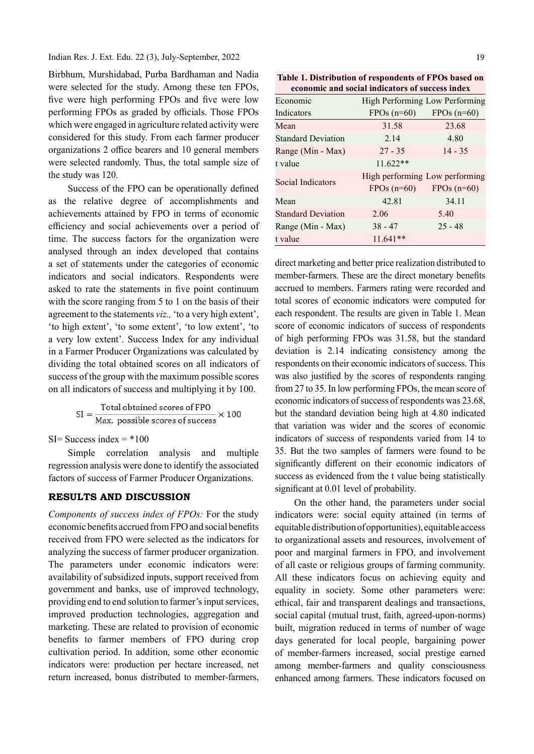Indian Res. J. Ext. Edu. 22 (3), July-September, 2022

Birbhum, Murshidabad, Purba Bardhaman and Nadia were selected for the study. Among these ten FPOs, five were high performing FPOs and five were low performing FPOs as graded by officials. Those FPOs which were engaged in agriculture related activity were considered for this study. From each farmer producer organizations 2 office bearers and 10 general members were selected randomly. Thus, the total sample size of the study was 120.

Success of the FPO can be operationally defined as the relative degree of accomplishments and achievements attained by FPO in terms of economic efficiency and social achievements over a period of time. The success factors for the organization were analysed through an index developed that contains a set of statements under the categories of economic indicators and social indicators. Respondents were asked to rate the statements in five point continuum with the score ranging from 5 to 1 on the basis of their agreement to the statements viz., 'to a very high extent', 'to high extent', 'to some extent', 'to low extent', 'to a very low extent'. Success Index for any individual in a Farmer Producer Organizations was calculated by dividing the total obtained scores on all indicators of success of the group with the maximum possible scores on all indicators of success and multiplying it by 100.

$$
SI = \frac{\text{Total obtained scores of FPO}}{\text{Max. possible scores of success}} \times 100
$$

 $SI=$  Success index =  $*100$ 

Simple correlation analysis and multiple regression analysis were done to identify the associated factors of success of Farmer Producer Organizations.

### RESULTS AND DISCUSSION

Components of success index of FPOs: For the study economic benefits accrued from FPO and social benefits received from FPO were selected as the indicators for analyzing the success of farmer producer organization. The parameters under economic indicators were: availability of subsidized inputs, support received from government and banks, use of improved technology, providing end to end solution to farmer's input services, improved production technologies, aggregation and marketing. These are related to provision of economic benefits to farmer members of FPO during crop cultivation period. In addition, some other economic indicators were: production per hectare increased, net return increased, bonus distributed to member-farmers,

Table 1. Distribution of respondents of FPOs based on economic and social indicators of success index

| Economic                  |              | High Performing Low Performing                 |
|---------------------------|--------------|------------------------------------------------|
| Indicators                | $FPOs(n=60)$ | $FPOs(n=60)$                                   |
| Mean                      | 31.58        | 23.68                                          |
| <b>Standard Deviation</b> | 2.14         | 4.80                                           |
| Range (Min - Max)         | $27 - 35$    | $14 - 35$                                      |
| t value                   | $11.622**$   |                                                |
| Social Indicators         | $FPOs(n=60)$ | High performing Low performing<br>$FPOs(n=60)$ |
| Mean                      | 42.81        | 34.11                                          |
| <b>Standard Deviation</b> | 2.06         | 5.40                                           |
| Range (Min - Max)         | $38 - 47$    | $25 - 48$                                      |
| t value                   | $11.641**$   |                                                |

direct marketing and better price realization distributed to member-farmers. These are the direct monetary benefits accrued to members. Farmers rating were recorded and total scores of economic indicators were computed for each respondent. The results are given in Table 1. Mean score of economic indicators of success of respondents of high performing FPOs was 31.58, but the standard deviation is 2.14 indicating consistency among the respondents on their economic indicators of success. This was also justified by the scores of respondents ranging from 27 to 35. In low performing FPOs, the mean score of economic indicators of success of respondents was 23.68, but the standard deviation being high at 4.80 indicated that variation was wider and the scores of economic indicators of success of respondents varied from 14 to 35. But the two samples of farmers were found to be significantly different on their economic indicators of success as evidenced from the t value being statistically significant at 0.01 level of probability.

On the other hand, the parameters under social indicators were: social equity attained (in terms of equitable distribution of opportunities), equitable access to organizational assets and resources, involvement of poor and marginal farmers in FPO, and involvement of all caste or religious groups of farming community. All these indicators focus on achieving equity and equality in society. Some other parameters were: ethical, fair and transparent dealings and transactions, social capital (mutual trust, faith, agreed-upon-norms) built, migration reduced in terms of number of wage days generated for local people, bargaining power of member-farmers increased, social prestige earned among member-farmers and quality consciousness enhanced among farmers. These indicators focused on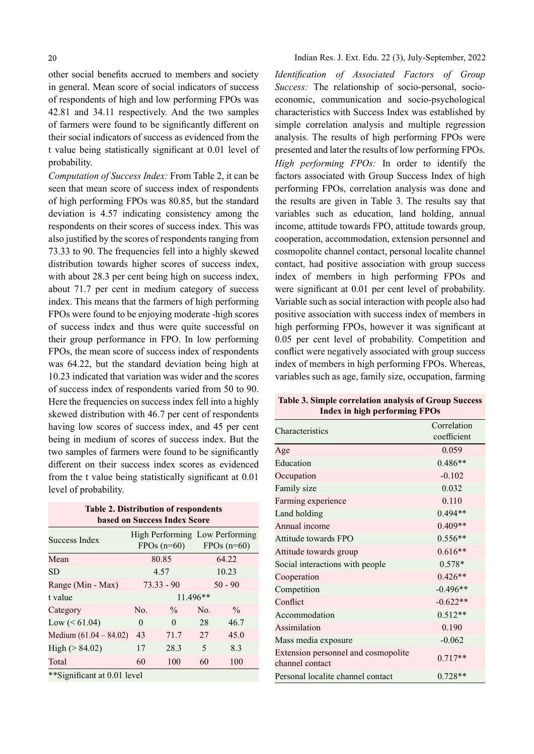other social benefits accrued to members and society in general. Mean score of social indicators of success of respondents of high and low performing FPOs was 42.81 and 34.11 respectively. And the two samples of farmers were found to be significantly different on their social indicators of success as evidenced from the t value being statistically significant at 0.01 level of probability.

Computation of Success Index: From Table 2, it can be seen that mean score of success index of respondents of high performing FPOs was 80.85, but the standard deviation is 4.57 indicating consistency among the respondents on their scores of success index. This was also justified by the scores of respondents ranging from 73.33 to 90. The frequencies fell into a highly skewed distribution towards higher scores of success index, with about 28.3 per cent being high on success index, about 71.7 per cent in medium category of success index. This means that the farmers of high performing FPOs were found to be enjoying moderate -high scores of success index and thus were quite successful on their group performance in FPO. In low performing FPOs, the mean score of success index of respondents was 64.22, but the standard deviation being high at 10.23 indicated that variation was wider and the scores of success index of respondents varied from 50 to 90. Here the frequencies on success index fell into a highly skewed distribution with 46.7 per cent of respondents having low scores of success index, and 45 per cent being in medium of scores of success index. But the two samples of farmers were found to be significantly different on their success index scores as evidenced from the t value being statistically significant at  $0.01$ level of probability.

Table 2. Distribution of respondents based on Success Index Score Success Index High Performing Low Performing<br>
FRO (C) FRO (C)  $FPOs(n=60)$  $FPOs(n=60)$ Mean 80.85 64.22 SD 4.57 10.23 Range (Min - Max) 73.33 - 90 50 - 90 t value 11.496<sup>\*\*</sup> Category  $\infty$  No.  $\%$  No.  $\%$ Low ( $\leq 61.04$ ) 0 0 28 46.7 Medium (61.04 – 84.02) 43 71.7 27 45.0 High ( $> 84.02$ ) 17 28.3 5 8.3 Total 60 100 60 100 \*\*Significant at 0.01 level

Indian Res. J. Ext. Edu. 22 (3), July-September, 2022

Identification of Associated Factors of Group Success: The relationship of socio-personal, socioeconomic, communication and socio-psychological characteristics with Success Index was established by simple correlation analysis and multiple regression analysis. The results of high performing FPOs were presented and later the results of low performing FPOs. High performing FPOs: In order to identify the factors associated with Group Success Index of high performing FPOs, correlation analysis was done and the results are given in Table 3. The results say that variables such as education, land holding, annual income, attitude towards FPO, attitude towards group, cooperation, accommodation, extension personnel and cosmopolite channel contact, personal localite channel contact, had positive association with group success index of members in high performing FPOs and were significant at 0.01 per cent level of probability. Variable such as social interaction with people also had positive association with success index of members in high performing FPOs, however it was significant at 0.05 per cent level of probability. Competition and conflict were negatively associated with group success index of members in high performing FPOs. Whereas, variables such as age, family size, occupation, farming

| писл ш шеп регитшие гт Оз                              |                            |  |  |  |
|--------------------------------------------------------|----------------------------|--|--|--|
| Characteristics                                        | Correlation<br>coefficient |  |  |  |
| Age                                                    | 0.059                      |  |  |  |
| Education                                              | $0.486**$                  |  |  |  |
| Occupation                                             | $-0.102$                   |  |  |  |
| Family size                                            | 0.032                      |  |  |  |
| Farming experience                                     | 0.110                      |  |  |  |
| Land holding                                           | $0.494**$                  |  |  |  |
| Annual income                                          | $0.409**$                  |  |  |  |
| Attitude towards FPO                                   | $0.556**$                  |  |  |  |
| Attitude towards group                                 | $0.616**$                  |  |  |  |
| Social interactions with people                        | $0.578*$                   |  |  |  |
| Cooperation                                            | $0.426**$                  |  |  |  |
| Competition                                            | $-0.496**$                 |  |  |  |
| Conflict                                               | $-0.622**$                 |  |  |  |
| Accommodation                                          | $0.512**$                  |  |  |  |
| Assimilation                                           | 0.190                      |  |  |  |
| Mass media exposure                                    | $-0.062$                   |  |  |  |
| Extension personnel and cosmopolite<br>channel contact | $0.717**$                  |  |  |  |
| Personal localite channel contact                      | $0.728**$                  |  |  |  |

Table 3. Simple correlation analysis of Group Success Index in high performing FPOs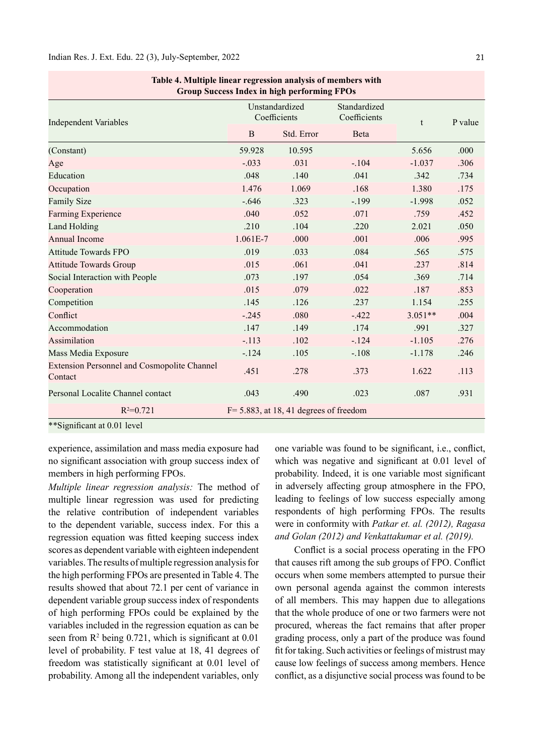| Group Success Index in high performing FPOs                   |                                |                                            |                              |           |         |  |
|---------------------------------------------------------------|--------------------------------|--------------------------------------------|------------------------------|-----------|---------|--|
| <b>Independent Variables</b>                                  | Unstandardized<br>Coefficients |                                            | Standardized<br>Coefficients | t         | P value |  |
|                                                               | $\mathbf{B}$                   | Std. Error                                 | Beta                         |           |         |  |
| (Constant)                                                    | 59.928                         | 10.595                                     |                              | 5.656     | .000    |  |
| Age                                                           | $-.033$                        | .031                                       | $-.104$                      | $-1.037$  | .306    |  |
| Education                                                     | .048                           | .140                                       | .041                         | .342      | .734    |  |
| Occupation                                                    | 1.476                          | 1.069                                      | .168                         | 1.380     | .175    |  |
| <b>Family Size</b>                                            | $-.646$                        | .323                                       | $-.199$                      | $-1.998$  | .052    |  |
| Farming Experience                                            | .040                           | .052                                       | .071                         | .759      | .452    |  |
| Land Holding                                                  | .210                           | .104                                       | .220                         | 2.021     | .050    |  |
| <b>Annual Income</b>                                          | $1.061E-7$                     | .000                                       | .001                         | .006      | .995    |  |
| <b>Attitude Towards FPO</b>                                   | .019                           | .033                                       | .084                         | .565      | .575    |  |
| <b>Attitude Towards Group</b>                                 | .015                           | .061                                       | .041                         | .237      | .814    |  |
| Social Interaction with People                                | .073                           | .197                                       | .054                         | .369      | .714    |  |
| Cooperation                                                   | .015                           | .079                                       | .022                         | .187      | .853    |  |
| Competition                                                   | .145                           | .126                                       | .237                         | 1.154     | .255    |  |
| Conflict                                                      | $-.245$                        | .080                                       | $-.422$                      | $3.051**$ | .004    |  |
| Accommodation                                                 | .147                           | .149                                       | .174                         | .991      | .327    |  |
| Assimilation                                                  | $-.113$                        | .102                                       | $-.124$                      | $-1.105$  | .276    |  |
| Mass Media Exposure                                           | $-.124$                        | .105                                       | $-.108$                      | $-1.178$  | .246    |  |
| <b>Extension Personnel and Cosmopolite Channel</b><br>Contact | .451                           | .278                                       | .373                         | 1.622     | .113    |  |
| Personal Localite Channel contact                             | .043                           | .490                                       | .023                         | .087      | .931    |  |
| $R^2=0.721$                                                   |                                | $F = 5.883$ , at 18, 41 degrees of freedom |                              |           |         |  |
| **Significant at 0.01 level                                   |                                |                                            |                              |           |         |  |

| Table 4. Multiple linear regression analysis of members with |  |
|--------------------------------------------------------------|--|
| <b>Group Success Index in high performing FPOs</b>           |  |

experience, assimilation and mass media exposure had no significant association with group success index of members in high performing FPOs.

Multiple linear regression analysis: The method of multiple linear regression was used for predicting the relative contribution of independent variables to the dependent variable, success index. For this a regression equation was fitted keeping success index scores as dependent variable with eighteen independent variables. The results of multiple regression analysis for the high performing FPOs are presented in Table 4. The results showed that about 72.1 per cent of variance in dependent variable group success index of respondents of high performing FPOs could be explained by the variables included in the regression equation as can be seen from  $\mathbb{R}^2$  being 0.721, which is significant at 0.01 level of probability. F test value at 18, 41 degrees of freedom was statistically significant at 0.01 level of probability. Among all the independent variables, only

one variable was found to be significant, i.e., conflict, which was negative and significant at 0.01 level of probability. Indeed, it is one variable most significant in adversely affecting group atmosphere in the FPO, leading to feelings of low success especially among respondents of high performing FPOs. The results were in conformity with Patkar et. al. (2012), Ragasa and Golan (2012) and Venkattakumar et al. (2019).

Conflict is a social process operating in the FPO that causes rift among the sub groups of FPO. Conflict occurs when some members attempted to pursue their own personal agenda against the common interests of all members. This may happen due to allegations that the whole produce of one or two farmers were not procured, whereas the fact remains that after proper grading process, only a part of the produce was found fit for taking. Such activities or feelings of mistrust may cause low feelings of success among members. Hence conflict, as a disjunctive social process was found to be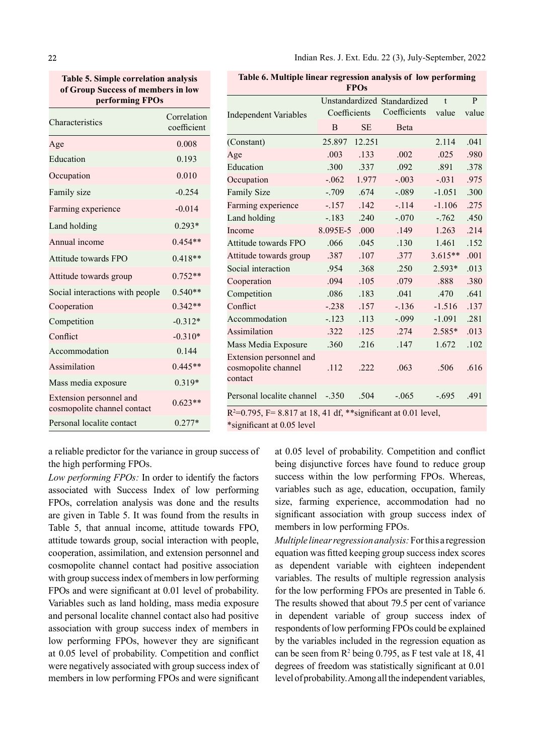Table 5. Simple correlation analysis of Group Success of members in low performing FPOs

| Correlation |  |
|-------------|--|
| coefficient |  |
| 0.008       |  |
| 0.193       |  |
| 0.010       |  |
| $-0.254$    |  |
| $-0.014$    |  |
| $0.293*$    |  |
| $0.454**$   |  |
| $0.418**$   |  |
| $0.752**$   |  |
| $0.540**$   |  |
| $0.342**$   |  |
| $-0.312*$   |  |
| $-0.310*$   |  |
| 0.144       |  |
| $0.445**$   |  |
| $0.319*$    |  |
| $0.623**$   |  |
| $0.277*$    |  |
|             |  |

Table 6. Multiple linear regression analysis of low performing

| <b>FPOs</b>                                               |              |           |                             |           |              |
|-----------------------------------------------------------|--------------|-----------|-----------------------------|-----------|--------------|
|                                                           |              |           | Unstandardized Standardized | t         | $\mathbf{P}$ |
| <b>Independent Variables</b>                              | Coefficients |           | Coefficients                | value     | value        |
|                                                           | B            | <b>SE</b> | Beta                        |           |              |
| (Constant)                                                | 25.897       | 12.251    |                             | 2.114     | .041         |
| Age                                                       | .003         | .133      | .002                        | .025      | .980         |
| Education                                                 | .300         | .337      | .092                        | .891      | .378         |
| Occupation                                                | $-.062$      | 1.977     | $-.003$                     | $-.031$   | .975         |
| <b>Family Size</b>                                        | $-.709$      | .674      | $-.089$                     | $-1.051$  | .300         |
| Farming experience                                        | $-157$       | .142      | $-.114$                     | $-1.106$  | .275         |
| Land holding                                              | $-.183$      | .240      | $-.070$                     | $-.762$   | .450         |
| Income                                                    | 8.095E-5     | .000      | .149                        | 1.263     | .214         |
| Attitude towards FPO                                      | .066         | .045      | .130                        | 1.461     | .152         |
| Attitude towards group                                    | .387         | .107      | .377                        | $3.615**$ | .001         |
| Social interaction                                        | .954         | .368      | .250                        | 2.593*    | .013         |
| Cooperation                                               | .094         | .105      | .079                        | .888      | .380         |
| Competition                                               | .086         | .183      | .041                        | .470      | .641         |
| Conflict                                                  | $-.238$      | .157      | $-.136$                     | $-1.516$  | .137         |
| Accommodation                                             | $-.123$      | .113      | $-.099$                     | $-1.091$  | .281         |
| Assimilation                                              | .322         | .125      | .274                        | $2.585*$  | .013         |
| Mass Media Exposure                                       | .360         | .216      | .147                        | 1.672     | .102         |
| Extension personnel and<br>cosmopolite channel<br>contact | .112         | .222      | .063                        | .506      | .616         |
| Personal localite channel                                 | $-.350$      | .504      | $-.065$                     | $-.695$   | .491         |
|                                                           |              |           |                             |           |              |

 $R^2$ =0.795, F= 8.817 at 18, 41 df, \*\*significant at 0.01 level,

\*significant at 0.05 level

a reliable predictor for the variance in group success of the high performing FPOs.

Low performing FPOs: In order to identify the factors associated with Success Index of low performing FPOs, correlation analysis was done and the results are given in Table 5. It was found from the results in Table 5, that annual income, attitude towards FPO, attitude towards group, social interaction with people, cooperation, assimilation, and extension personnel and cosmopolite channel contact had positive association with group success index of members in low performing FPOs and were significant at 0.01 level of probability. Variables such as land holding, mass media exposure and personal localite channel contact also had positive association with group success index of members in low performing FPOs, however they are significant at 0.05 level of probability. Competition and conflict were negatively associated with group success index of members in low performing FPOs and were significant at 0.05 level of probability. Competition and conflict being disjunctive forces have found to reduce group success within the low performing FPOs. Whereas, variables such as age, education, occupation, family size, farming experience, accommodation had no significant association with group success index of members in low performing FPOs.

Multiple linear regression analysis: For this a regression equation was fi tted keeping group success index scores as dependent variable with eighteen independent variables. The results of multiple regression analysis for the low performing FPOs are presented in Table 6. The results showed that about 79.5 per cent of variance in dependent variable of group success index of respondents of low performing FPOs could be explained by the variables included in the regression equation as can be seen from  $\mathbb{R}^2$  being 0.795, as F test vale at 18, 41 degrees of freedom was statistically significant at 0.01 level of probability. Among all the independent variables,